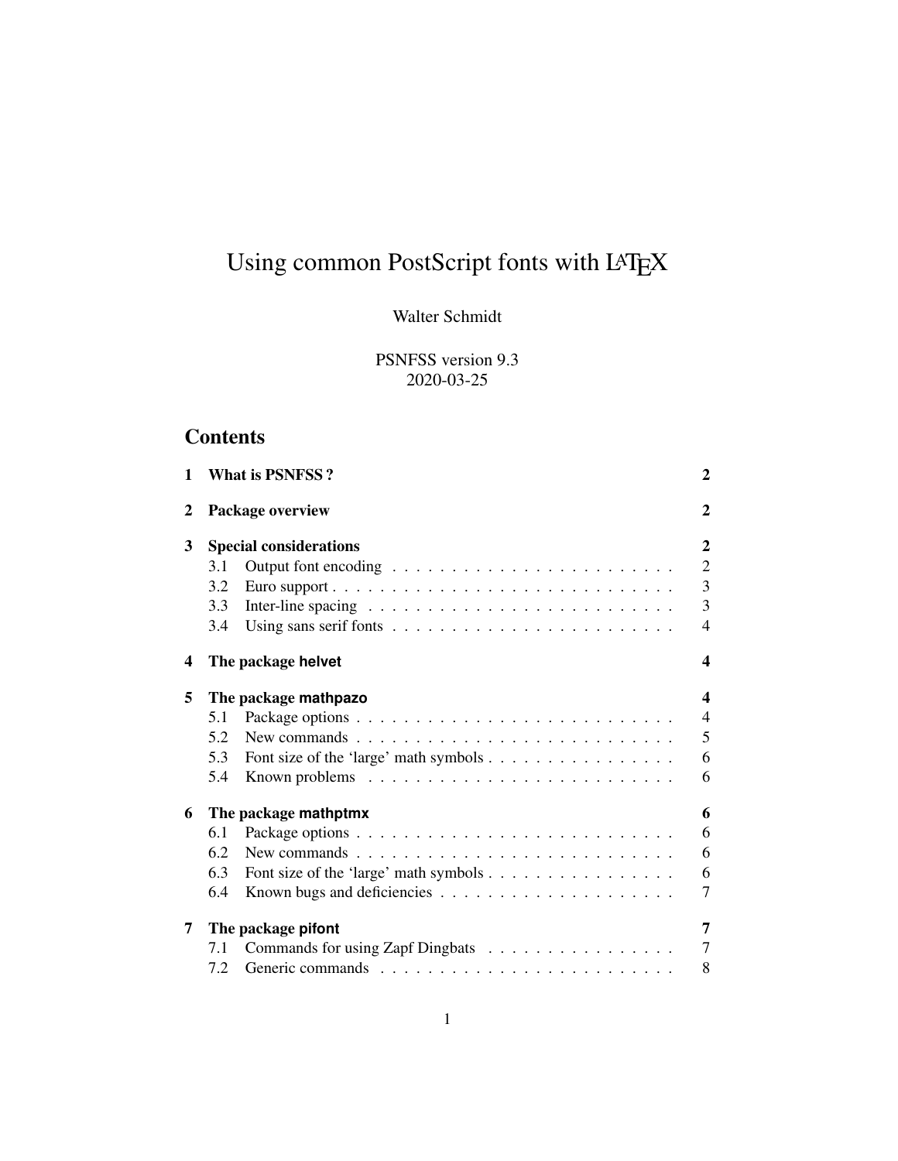# Using common PostScript fonts with LATEX

# Walter Schmidt

PSNFSS version 9.3 2020-03-25

# **Contents**

| 1 | <b>What is PSNFSS?</b>                                                                                               | $\overline{2}$          |
|---|----------------------------------------------------------------------------------------------------------------------|-------------------------|
| 2 | Package overview                                                                                                     | $\overline{2}$          |
| 3 | <b>Special considerations</b>                                                                                        | $\overline{2}$          |
|   | 3.1                                                                                                                  | $\overline{2}$          |
|   | 3.2                                                                                                                  | $\overline{3}$          |
|   | 3.3                                                                                                                  | $\overline{3}$          |
|   | 3.4                                                                                                                  | $\overline{4}$          |
| 4 | The package helvet                                                                                                   | $\overline{\mathbf{4}}$ |
| 5 | The package mathpazo                                                                                                 | $\overline{\mathbf{4}}$ |
|   | 5.1                                                                                                                  | $\overline{4}$          |
|   | New commands $\ldots \ldots \ldots \ldots \ldots \ldots \ldots \ldots \ldots$<br>5.2                                 | 5                       |
|   | Font size of the 'large' math symbols<br>5.3                                                                         | 6                       |
|   | 5.4                                                                                                                  | 6                       |
| 6 | The package mathptmx                                                                                                 | 6                       |
|   | 6.1                                                                                                                  | 6                       |
|   | 6.2<br>New commands $\ldots$ , $\ldots$ , $\ldots$ , $\ldots$ , $\ldots$ , $\ldots$ , $\ldots$ , $\ldots$ , $\ldots$ | 6                       |
|   | 6.3<br>Font size of the 'large' math symbols                                                                         | 6                       |
|   | 6.4                                                                                                                  | $\overline{7}$          |
| 7 | The package pifont                                                                                                   | 7                       |
|   | Commands for using Zapf Dingbats<br>7.1                                                                              | $\overline{7}$          |
|   | 7.2                                                                                                                  | 8                       |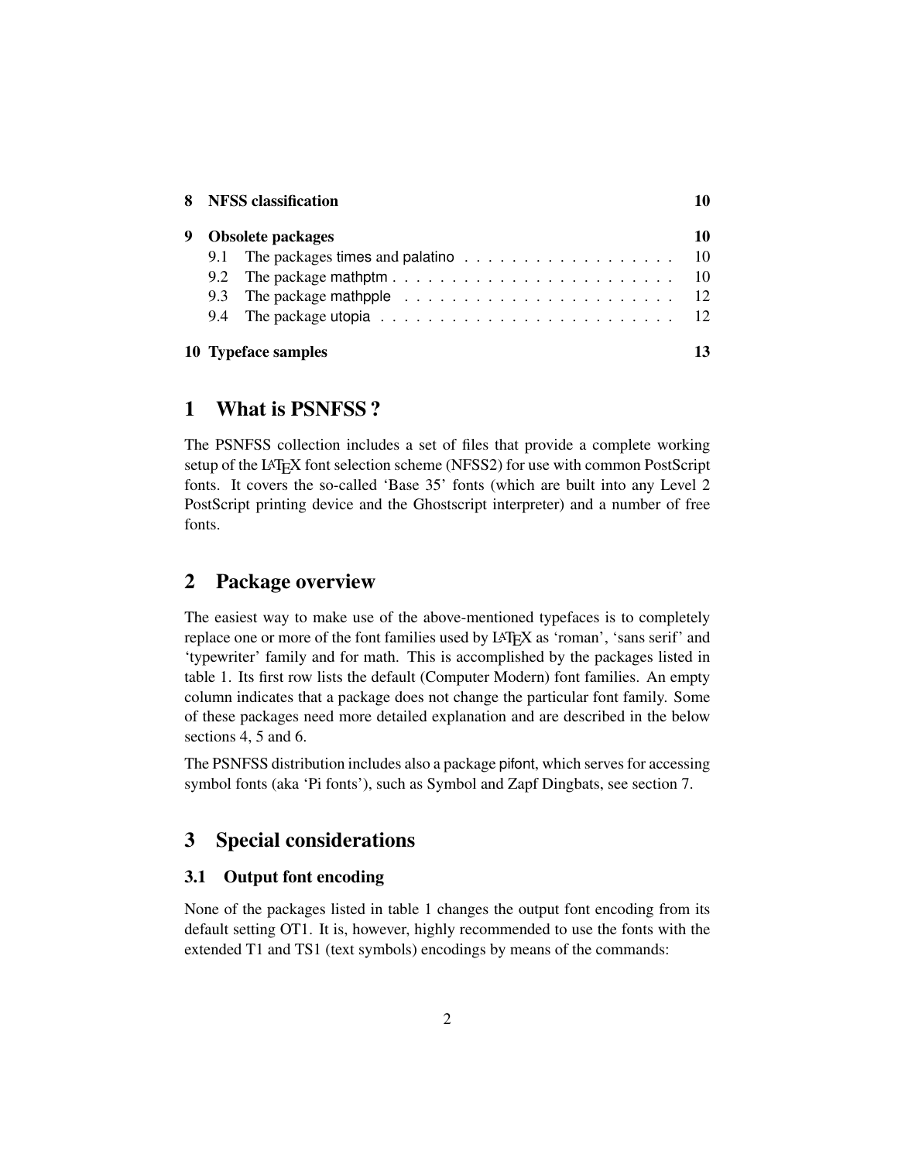|   | 8 NFSS classification                                                                      | 10 |
|---|--------------------------------------------------------------------------------------------|----|
| 9 | <b>Obsolete packages</b>                                                                   | 10 |
|   | 9.1 The packages times and palatino $\ldots \ldots \ldots \ldots \ldots \ldots \ldots$ 10  |    |
|   |                                                                                            |    |
|   |                                                                                            |    |
|   | 9.4 The package utopia $\ldots \ldots \ldots \ldots \ldots \ldots \ldots \ldots \ldots$ 12 |    |
|   | 10 Typeface samples                                                                        | 13 |

### <span id="page-1-0"></span>1 What is PSNFSS ?

The PSNFSS collection includes a set of files that provide a complete working setup of the LAT<sub>E</sub>X font selection scheme (NFSS2) for use with common PostScript fonts. It covers the so-called 'Base 35' fonts (which are built into any Level 2 PostScript printing device and the Ghostscript interpreter) and a number of free fonts.

# <span id="page-1-1"></span>2 Package overview

The easiest way to make use of the above-mentioned typefaces is to completely replace one or more of the font families used by LAT<sub>E</sub>X as 'roman', 'sans serif' and 'typewriter' family and for math. This is accomplished by the packages listed in table [1.](#page-2-2) Its first row lists the default (Computer Modern) font families. An empty column indicates that a package does not change the particular font family. Some of these packages need more detailed explanation and are described in the below sections [4,](#page-3-1) [5](#page-3-2) and [6.](#page-5-2)

The PSNFSS distribution includes also a package pifont, which serves for accessing symbol fonts (aka 'Pi fonts'), such as Symbol and Zapf Dingbats, see section [7.](#page-6-1)

# <span id="page-1-2"></span>3 Special considerations

#### <span id="page-1-3"></span>3.1 Output font encoding

None of the packages listed in table [1](#page-2-2) changes the output font encoding from its default setting OT1. It is, however, highly recommended to use the fonts with the extended T1 and TS1 (text symbols) encodings by means of the commands: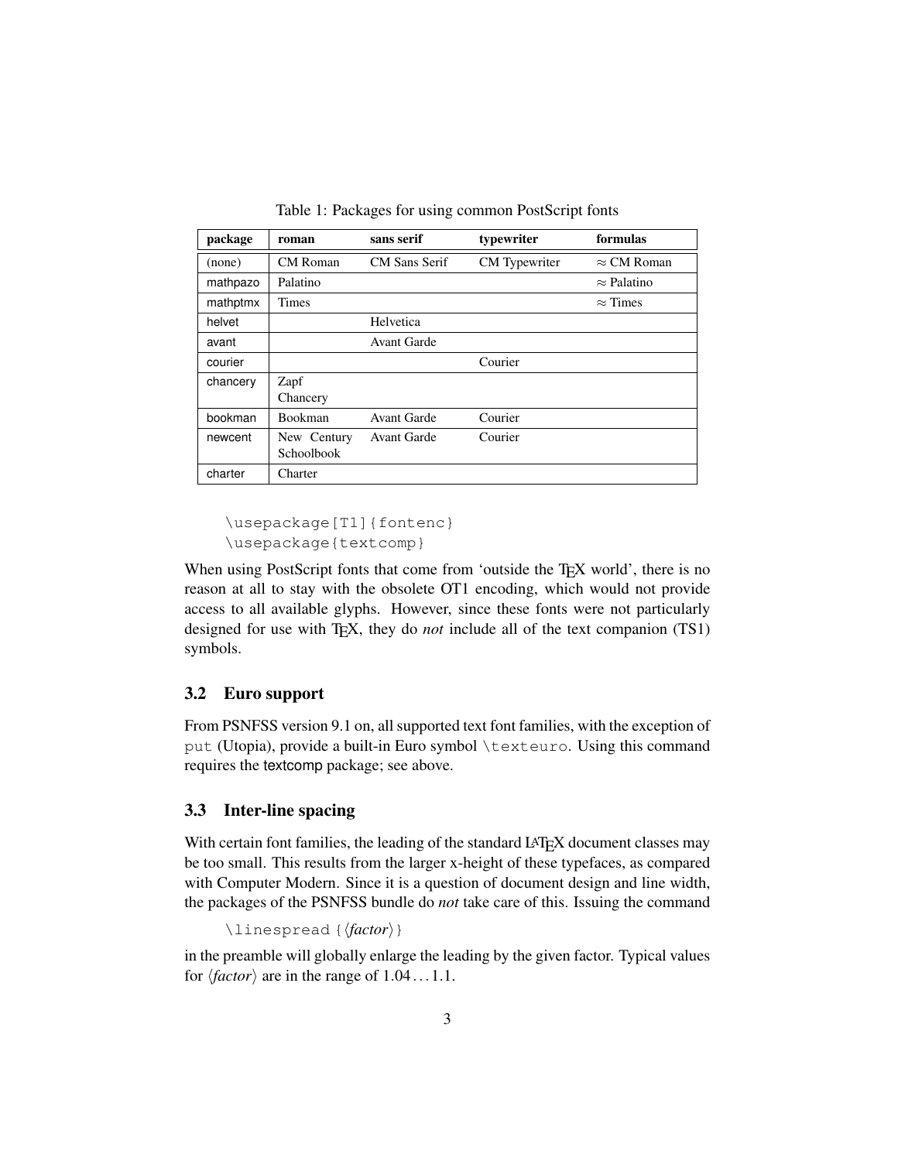| package  | roman                     | sans serif           | typewriter    | formulas           |
|----------|---------------------------|----------------------|---------------|--------------------|
| (none)   | CM Roman                  | <b>CM</b> Sans Serif | CM Typewriter | $\approx$ CM Roman |
| mathpazo | Palatino                  |                      |               | $\approx$ Palatino |
| mathptmx | Times                     |                      |               | $\approx$ Times    |
| helvet   |                           | Helvetica            |               |                    |
| avant    |                           | Avant Garde          |               |                    |
| courier  |                           |                      | Courier       |                    |
| chancery | Zapf<br>Chancery          |                      |               |                    |
| bookman  | <b>Bookman</b>            | <b>Avant Garde</b>   | Courier       |                    |
| newcent  | New Century<br>Schoolbook | Avant Garde          | Courier       |                    |
| charter  | Charter                   |                      |               |                    |

<span id="page-2-2"></span>Table 1: Packages for using common PostScript fonts

```
\usepackage[T1]{fontenc}
\usepackage{textcomp}
```
When using PostScript fonts that come from 'outside the TEX world', there is no reason at all to stay with the obsolete OT1 encoding, which would not provide access to all available glyphs. However, since these fonts were not particularly designed for use with T<sub>E</sub>X, they do *not* include all of the text companion (TS1) symbols.

#### <span id="page-2-0"></span>3.2 Euro support

From PSNFSS version 9.1 on, all supported text font families, with the exception of put (Utopia), provide a built-in Euro symbol \texteuro. Using this command requires the textcomp package; see above.

#### <span id="page-2-1"></span>3.3 Inter-line spacing

With certain font families, the leading of the standard LATEX document classes may be too small. This results from the larger x-height of these typefaces, as compared with Computer Modern. Since it is a question of document design and line width, the packages of the PSNFSS bundle do *not* take care of this. Issuing the command

```
\langlelinespread \langle (factor)}
```
in the preamble will globally enlarge the leading by the given factor. Typical values for  $\langle factor \rangle$  are in the range of  $1.04...1.1$ .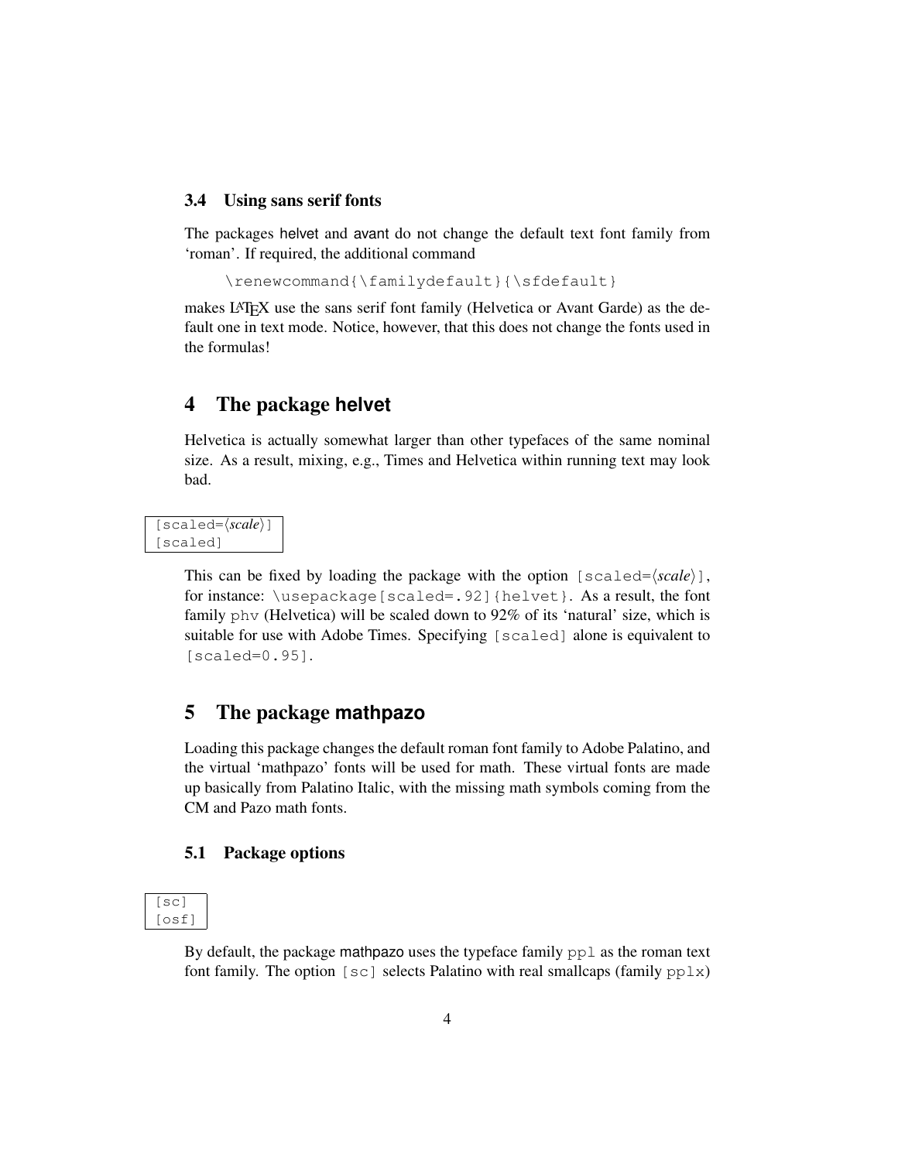#### <span id="page-3-0"></span>3.4 Using sans serif fonts

The packages helvet and avant do not change the default text font family from 'roman'. If required, the additional command

\renewcommand{\familydefault}{\sfdefault}

makes LATEX use the sans serif font family (Helvetica or Avant Garde) as the default one in text mode. Notice, however, that this does not change the fonts used in the formulas!

### <span id="page-3-1"></span>4 The package **helvet**

Helvetica is actually somewhat larger than other typefaces of the same nominal size. As a result, mixing, e.g., Times and Helvetica within running text may look bad.

[scaled= $\langle scale \rangle$ ] [scaled]

> This can be fixed by loading the package with the option  $[s \text{ cal} \in \langle scale \rangle]$ , for instance: \usepackage[scaled=.92]{helvet}. As a result, the font family phv (Helvetica) will be scaled down to 92% of its 'natural' size, which is suitable for use with Adobe Times. Specifying [scaled] alone is equivalent to [scaled=0.95].

### <span id="page-3-2"></span>5 The package **mathpazo**

Loading this package changes the default roman font family to Adobe Palatino, and the virtual 'mathpazo' fonts will be used for math. These virtual fonts are made up basically from Palatino Italic, with the missing math symbols coming from the CM and Pazo math fonts.

#### <span id="page-3-3"></span>5.1 Package options

[sc] [osf]

> By default, the package mathpazo uses the typeface family  $ppl$  as the roman text font family. The option [sc] selects Palatino with real smallcaps (family  $pplx$ )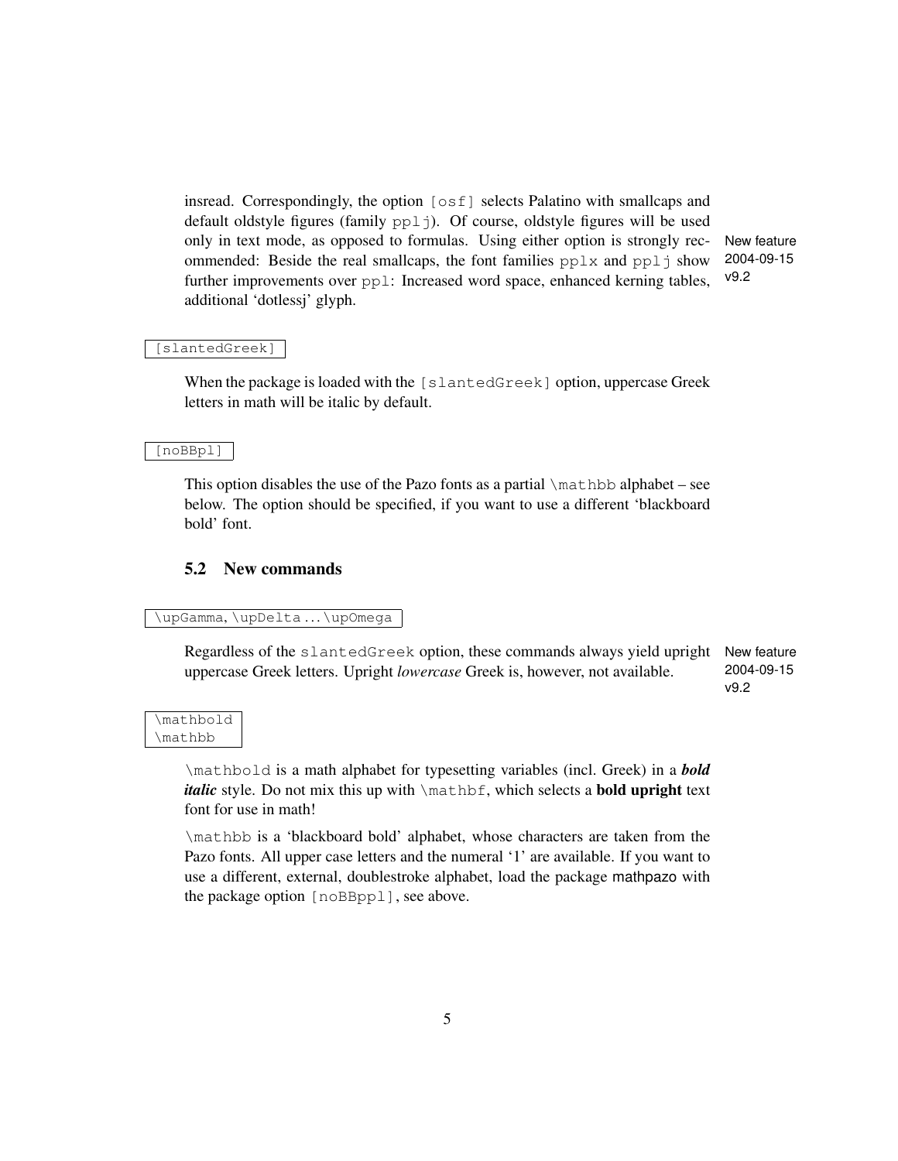insread. Correspondingly, the option [osf] selects Palatino with smallcaps and default oldstyle figures (family pplj). Of course, oldstyle figures will be used only in text mode, as opposed to formulas. Using either option is strongly rec- New feature 2004-09-15 v9.2 ommended: Beside the real smallcaps, the font families  $pplx$  and  $ppl\dot{\uparrow}$  show further improvements over  $pp1$ : Increased word space, enhanced kerning tables, additional 'dotlessj' glyph.

[slantedGreek]

When the package is loaded with the [slantedGreek] option, uppercase Greek letters in math will be italic by default.

[noBBpl]

This option disables the use of the Pazo fonts as a partial  $\mathbb L$  and  $\mathbb L$  alphabet – see below. The option should be specified, if you want to use a different 'blackboard bold' font.

#### <span id="page-4-0"></span>5.2 New commands

\upGamma, \upDelta ... \upOmega

Regardless of the slantedGreek option, these commands always yield upright New feature 2004-09-15 uppercase Greek letters. Upright *lowercase* Greek is, however, not available.

v9.2

\mathbold \mathbb

> \mathbold is a math alphabet for typesetting variables (incl. Greek) in a *bold italic* style. Do not mix this up with \mathbf, which selects a **bold upright** text font for use in math!

> \mathbb is a 'blackboard bold' alphabet, whose characters are taken from the Pazo fonts. All upper case letters and the numeral '1' are available. If you want to use a different, external, doublestroke alphabet, load the package mathpazo with the package option [noBBppl], see above.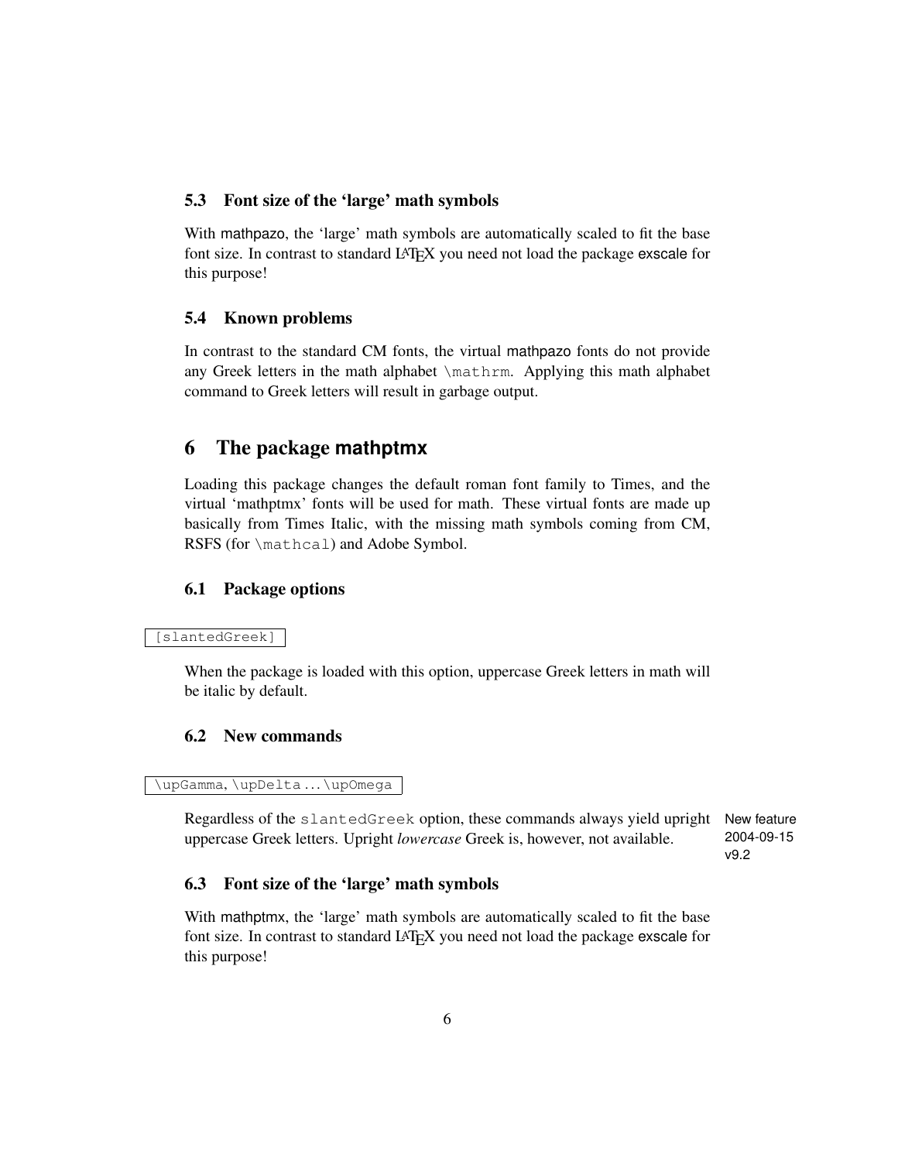#### <span id="page-5-0"></span>5.3 Font size of the 'large' math symbols

With mathpazo, the 'large' math symbols are automatically scaled to fit the base font size. In contrast to standard LAT<sub>EX</sub> you need not load the package exscale for this purpose!

#### <span id="page-5-1"></span>5.4 Known problems

In contrast to the standard CM fonts, the virtual mathpazo fonts do not provide any Greek letters in the math alphabet \mathrm. Applying this math alphabet command to Greek letters will result in garbage output.

### <span id="page-5-2"></span>6 The package **mathptmx**

Loading this package changes the default roman font family to Times, and the virtual 'mathptmx' fonts will be used for math. These virtual fonts are made up basically from Times Italic, with the missing math symbols coming from CM, RSFS (for \mathcal) and Adobe Symbol.

### <span id="page-5-3"></span>6.1 Package options

#### [slantedGreek]

When the package is loaded with this option, uppercase Greek letters in math will be italic by default.

#### <span id="page-5-4"></span>6.2 New commands

\upGamma, \upDelta ... \upOmega

Regardless of the slantedGreek option, these commands always yield upright New feature uppercase Greek letters. Upright *lowercase* Greek is, however, not available.

2004-09-15 v9.2

#### <span id="page-5-5"></span>6.3 Font size of the 'large' math symbols

With mathptmx, the 'large' math symbols are automatically scaled to fit the base font size. In contrast to standard LAT<sub>E</sub>X you need not load the package exscale for this purpose!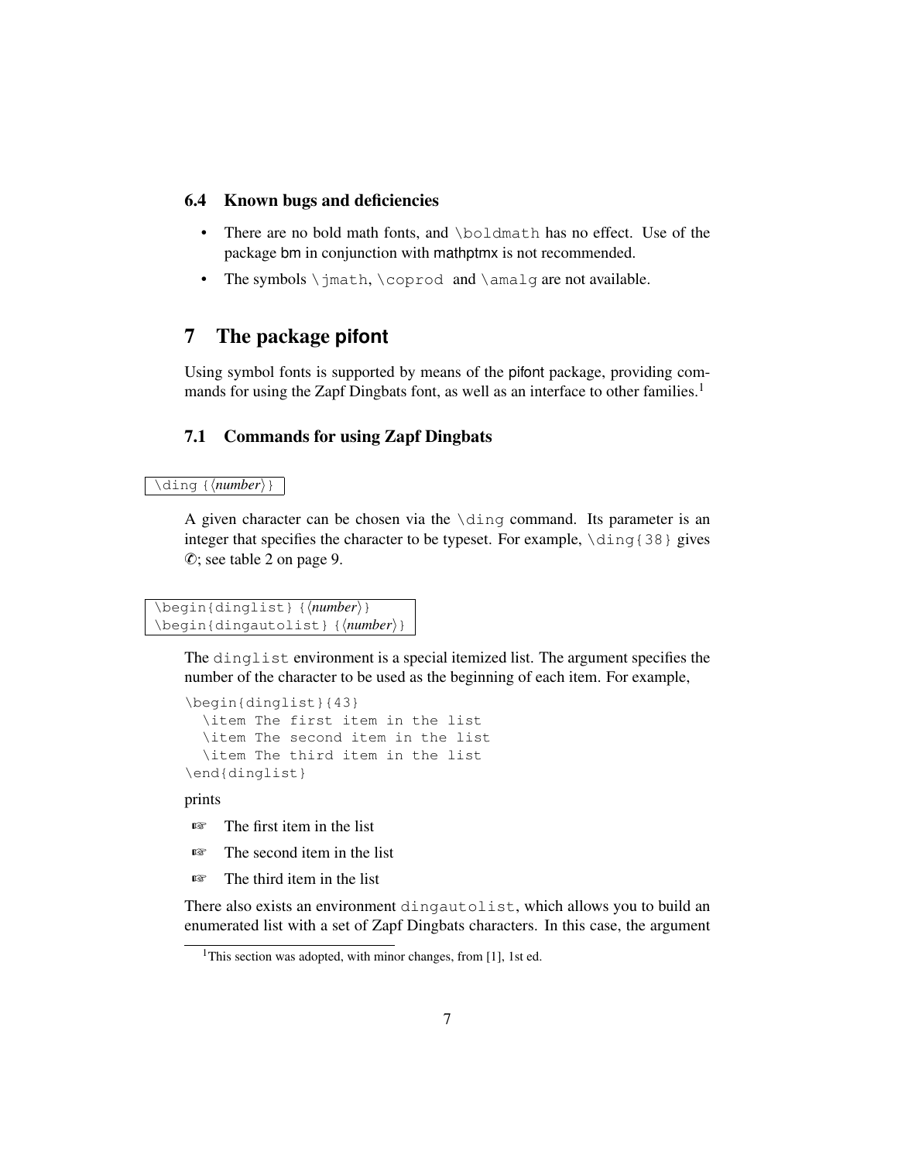#### <span id="page-6-0"></span>6.4 Known bugs and deficiencies

- There are no bold math fonts, and \boldmath has no effect. Use of the package bm in conjunction with mathptmx is not recommended.
- The symbols \jmath, \coprod and \amalg are not available.

# <span id="page-6-1"></span>7 The package **pifont**

Using symbol fonts is supported by means of the pifont package, providing com-mands for using the Zapf Dingbats font, as well as an interface to other families.<sup>[1](#page-6-3)</sup>

### <span id="page-6-2"></span>7.1 Commands for using Zapf Dingbats

#### \ding {*\number*}}

A given character can be chosen via the  $\dim$  command. Its parameter is an integer that specifies the character to be typeset. For example,  $\dim(38)$  gives ✆; see table [2 on page 9.](#page-8-0)

```
\begin{dinglist} {{number}}
\begin{dingautolist} {{number}}
```
The dinglist environment is a special itemized list. The argument specifies the number of the character to be used as the beginning of each item. For example,

```
\begin{dinglist}{43}
 \item The first item in the list
  \item The second item in the list
  \item The third item in the list
\end{dinglist}
```
prints

- ☞ The first item in the list
- ☞ The second item in the list
- ☞ The third item in the list

There also exists an environment dingautolist, which allows you to build an enumerated list with a set of Zapf Dingbats characters. In this case, the argument

<span id="page-6-3"></span><sup>&</sup>lt;sup>1</sup>This section was adopted, with minor changes, from [\[1\]](#page-13-0), 1st ed.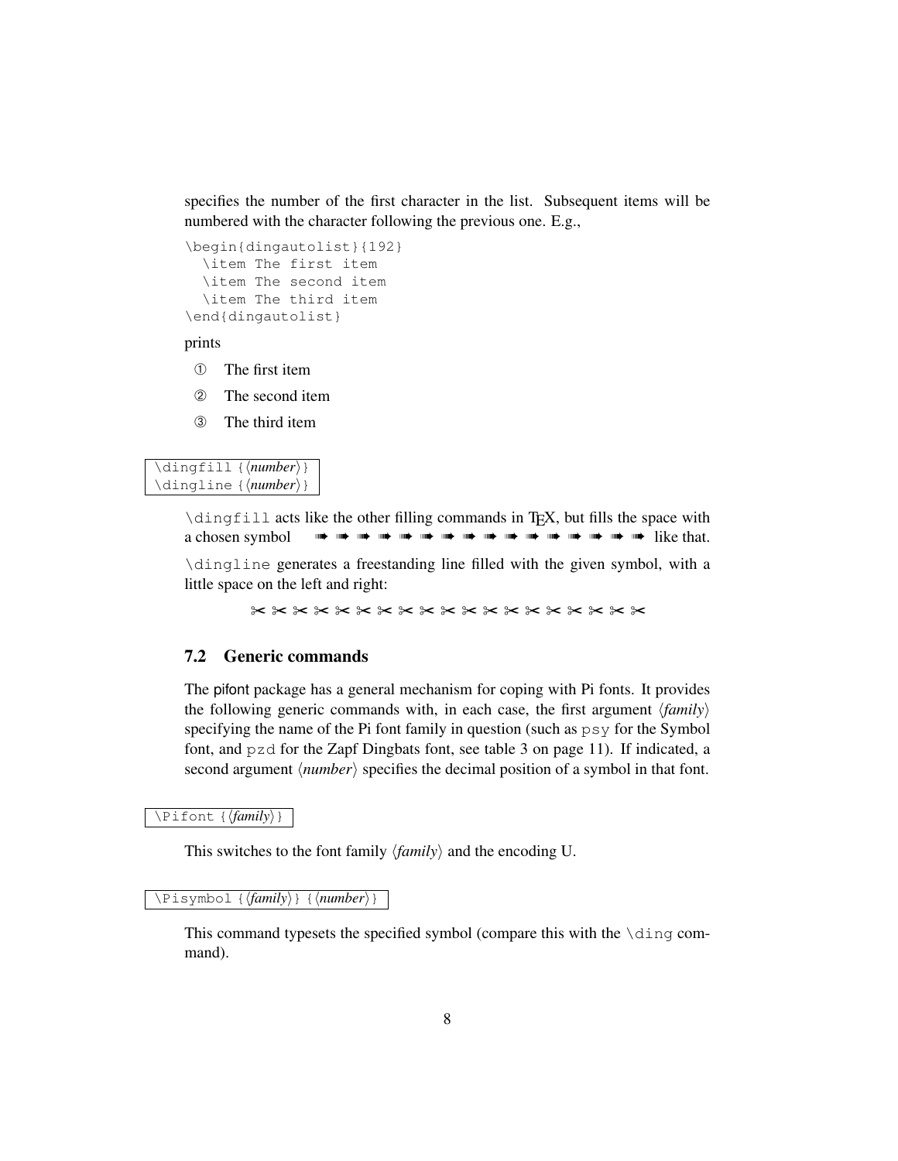specifies the number of the first character in the list. Subsequent items will be numbered with the character following the previous one. E.g.,

```
\begin{dingautolist}{192}
  \item The first item
 \item The second item
 \item The third item
\end{dingautolist}
```
prints

- ➀ The first item
- ➁ The second item
- ➂ The third item

\dingfill {\*number*}} \dingline {\*number*}}

> \dingfill acts like the other filling commands in TEX, but fills the space with a chosen symbol ➠ ➠ ➠ ➠ ➠ ➠ ➠ ➠ ➠ ➠ ➠ ➠ ➠ ➠ ➠ ➠ like that.

> \dingline generates a freestanding line filled with the given symbol, with a little space on the left and right:

> > ✂ ✂ ✂ ✂ ✂ ✂ ✂ ✂ ✂ ✂ ✂ ✂ ✂ ✂ ✂ ✂ ✂ ✂ ✂

#### <span id="page-7-0"></span>7.2 Generic commands

The pifont package has a general mechanism for coping with Pi fonts. It provides the following generic commands with, in each case, the first argument  $\langle family \rangle$ specifying the name of the Pi font family in question (such as  $psy$  for the Symbol font, and pzd for the Zapf Dingbats font, see table [3 on page 11\)](#page-10-0). If indicated, a second argument  $\langle number \rangle$  specifies the decimal position of a symbol in that font.

\Pifont {  $\langle family \rangle$  }

This switches to the font family  $\langle \text{family} \rangle$  and the encoding U.

\Pisymbol {*\family*}} {*\number*}}

This command typesets the specified symbol (compare this with the \ding command).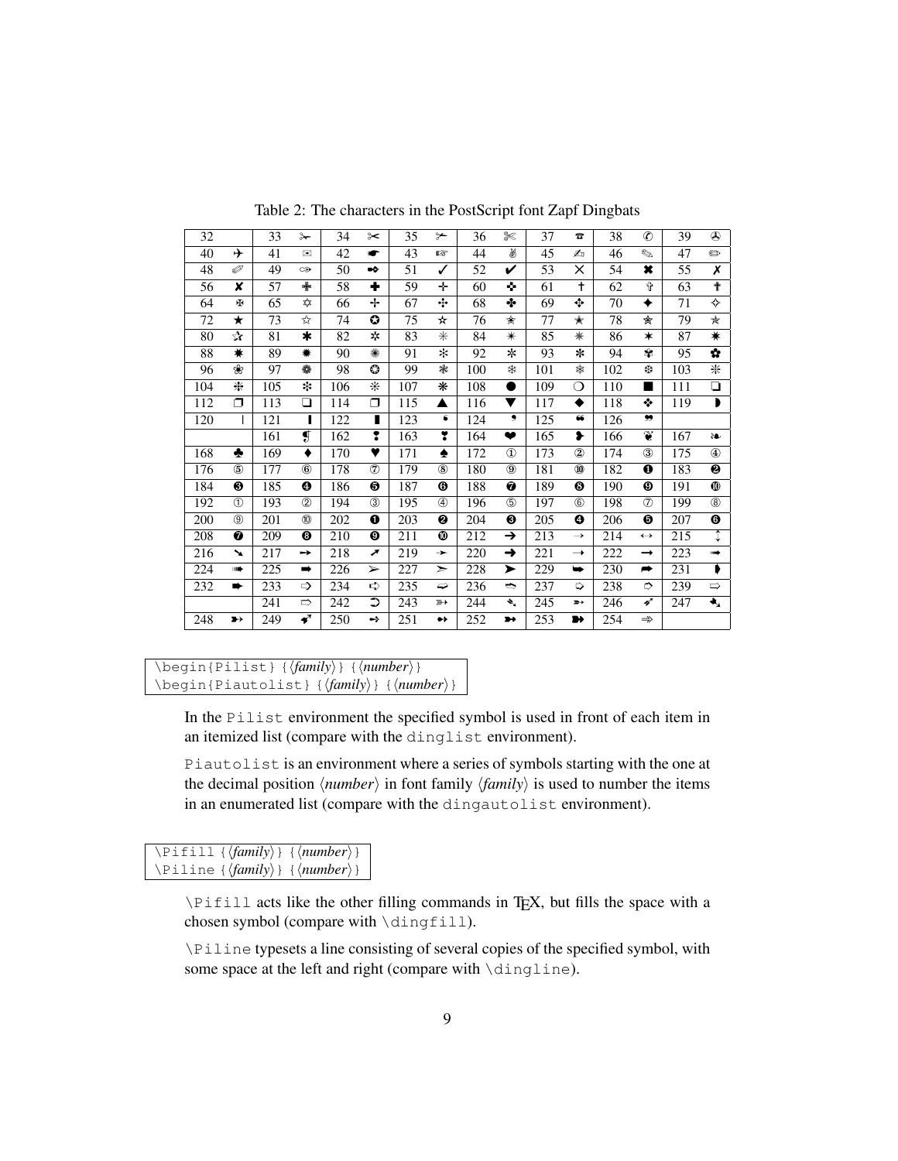| 32  |               | 33  | $\rightarrow$           | 34  | $\approx$             | 35  | $\rightarrow$ | 36  | ℁             | 37  | $\mathbf{z}$   | 38  | $\circledast$     | 39  | $\circledcirc$ |
|-----|---------------|-----|-------------------------|-----|-----------------------|-----|---------------|-----|---------------|-----|----------------|-----|-------------------|-----|----------------|
| 40  | ⊁             | 41  | ⊠                       | 42  | ▰                     | 43  | 曙             | 44  | ₩             | 45  | Æъ             | 46  | $\mathscr{D}$     | 47  | $\oplus$       |
| 48  | T             | 49  | $\infty$                | 50  | $\bullet$             | 51  | ✓             | 52  | V             | 53  | ×              | 54  | ×                 | 55  | X              |
| 56  | x             | 57  | ♣                       | 58  | ٠                     | 59  | ÷             | 60  | ۰             | 61  | $\ddagger$     | 62  | Ŷ                 | 63  | ↟              |
| 64  | Ŧ             | 65  | ✿                       | 66  | ÷                     | 67  | ÷             | 68  | ♣             | 69  | $\pm$          | 70  | ✦                 | 71  | ✧              |
| 72  | ★             | 73  | ☆                       | 74  | O                     | 75  | ★             | 76  | ☆             | 77  | ★              | 78  | 肏                 | 79  | ★              |
| 80  | ☆             | 81  | $\ast$                  | 82  | *                     | 83  | $\ast$        | 84  | $\ast$        | 85  | ₩              | 86  | ∗                 | 87  | ☀              |
| 88  | ₩             | 89  | ☀                       | 90  | ☀                     | 91  | ×             | 92  | ∗             | 93  | ∗              | 94  | ₩                 | 95  | ✿              |
| 96  | ❀             | 97  | ٠                       | 98  | O                     | 99  | ☀             | 100 | *             | 101 | ₩              | 102 | ₩                 | 103 | 米              |
| 104 | ⋇             | 105 | *                       | 106 | ∗                     | 107 | ⋇             | 108 | D             | 109 | ◯              | 110 | ■                 | 111 | ❏              |
| 112 | ⊓             | 113 | $\Box$                  | 114 | Π                     | 115 | ▲             | 116 | ▼             | 117 | ٠              | 118 | ❖                 | 119 | D              |
| 120 | I             | 121 | п                       | 122 | п                     | 123 | 6             | 124 | و             | 125 | 66             | 126 | 99                |     |                |
|     |               | 161 | $\overline{\mathbf{g}}$ | 162 | 2                     | 163 | Y             | 164 | ❤             | 165 | ❥              | 166 | Ť                 | 167 | èe.            |
| 168 | ٠             | 169 | ٠                       | 170 | ♥                     | 171 | ♠             | 172 | $\mathbf{D}$  | 173 | $^{\circledR}$ | 174 | $\circled{3}$     | 175 | $^{\circledR}$ |
| 176 | $\circledS$   | 177 | $\circledR$             | 178 | ℗                     | 179 | $\circledR$   | 180 | $\circledS$   | 181 | $^{\circledR}$ | 182 | ❶                 | 183 | ❷              |
| 184 | ❸             | 185 | ❹                       | 186 | ❺                     | 187 | ❻             | 188 | ❼             | 189 | ❸              | 190 | ◉                 | 191 | ❶              |
| 192 | (T)           | 193 | (2)                     | 194 | (3)                   | 195 | $\circled{4}$ | 196 | (5)           | 197 | $6$            | 198 | $\circled7$       | 199 | $^{\circledR}$ |
| 200 | (9)           | 201 | (10)                    | 202 | 0                     | 203 | 0             | 204 | ❸             | 205 | ❹              | 206 | ❺                 | 207 | ❻              |
| 208 | ❼             | 209 | ❸                       | 210 | ଭ                     | 211 | ◍             | 212 | →             | 213 | $\rightarrow$  | 214 | $\leftrightarrow$ | 215 | ↧              |
| 216 | ↘             | 217 | →                       | 218 | ↗                     | 219 | →             | 220 | →             | 221 | $\rightarrow$  | 222 | $\rightarrow$     | 223 | ⊪⇒             |
| 224 | ⊪⊯            | 225 | $\Rightarrow$           | 226 | $\blacktriangleright$ | 227 | ➤             | 228 | ➤             | 229 | ➡              | 230 | $\rightarrow$     | 231 |                |
| 232 | ➡             | 233 | $\Rightarrow$           | 234 | ⇨                     | 235 | ⇔             | 236 | $\Rightarrow$ | 237 | ⇨              | 238 | ⇨                 | 239 | $\Rightarrow$  |
|     |               | 241 | $\Rightarrow$           | 242 | ⊃                     | 243 | $\rightarrow$ | 244 | ₹             | 245 | ∍              | 246 | 4                 | 247 | ◆              |
| 248 | $\rightarrow$ | 249 | ✔                       | 250 | ↔                     | 251 | $\bullet\ast$ | 252 | $\rightarrow$ | 253 | ₩              | 254 | $\Rightarrow$     |     |                |

<span id="page-8-0"></span>Table 2: The characters in the PostScript font Zapf Dingbats

```
\begin{Pilist} {\family}} {\number}}
\begin{Piautolist} {\family} } {\number}}
```
In the Pilist environment the specified symbol is used in front of each item in an itemized list (compare with the dinglist environment).

Piautolist is an environment where a series of symbols starting with the one at the decimal position  $\langle number \rangle$  in font family  $\langle family \rangle$  is used to number the items in an enumerated list (compare with the dingautolist environment).

|  | $\left\{ \{ \{family \} \} \} \{ \langle number \rangle \} \right\}$     |
|--|--------------------------------------------------------------------------|
|  | $\left\{ \frac{\langle family \rangle}{\langle number \rangle} \right\}$ |

\Pifill acts like the other filling commands in TEX, but fills the space with a chosen symbol (compare with \dingfill).

\Piline typesets a line consisting of several copies of the specified symbol, with some space at the left and right (compare with \dingline).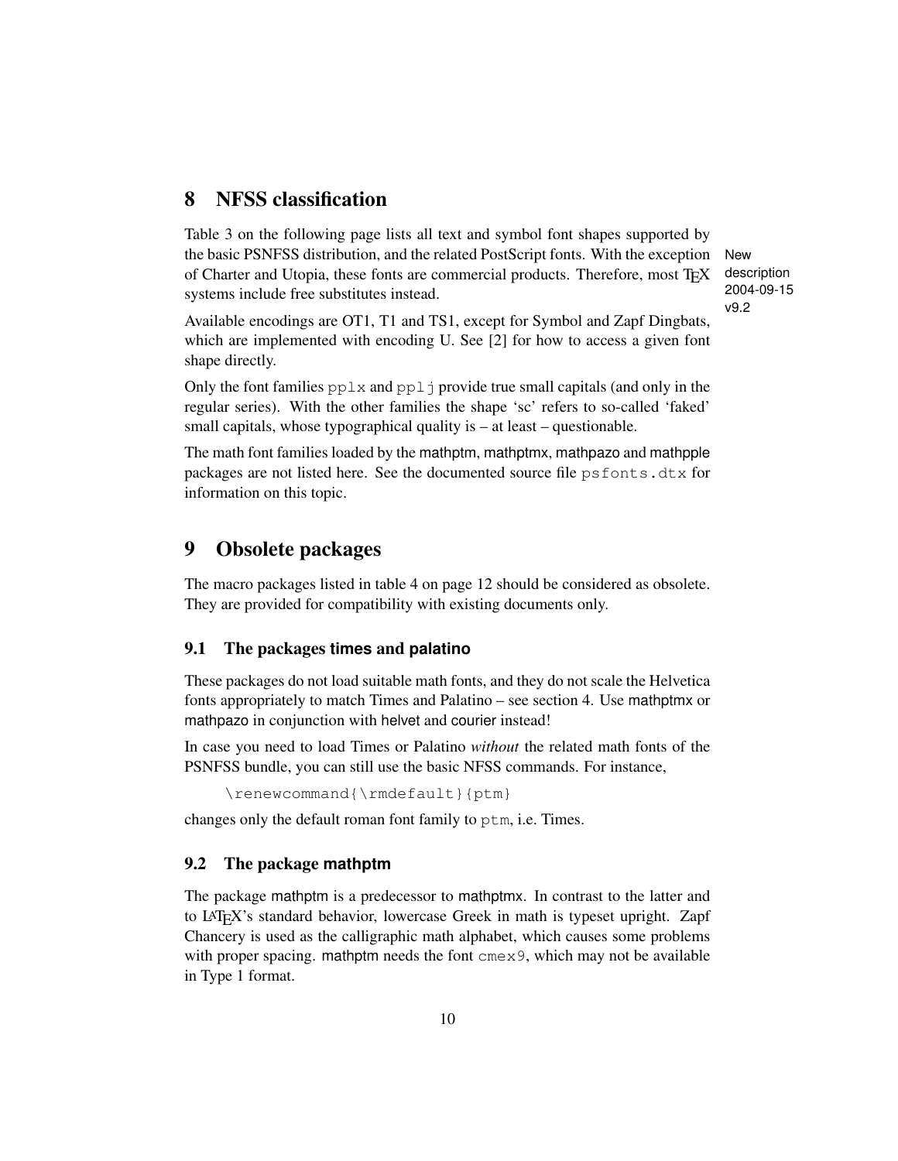# <span id="page-9-0"></span>8 NFSS classification

Table [3 on the following page](#page-10-0) lists all text and symbol font shapes supported by the basic PSNFSS distribution, and the related PostScript fonts. With the exception New of Charter and Utopia, these fonts are commercial products. Therefore, most TEX systems include free substitutes instead.

description 2004-09-15 v9.2

Available encodings are OT1, T1 and TS1, except for Symbol and Zapf Dingbats, which are implemented with encoding U. See [\[2\]](#page-13-1) for how to access a given font shape directly.

Only the font families  $pplx$  and  $ppl\dot{\theta}$  provide true small capitals (and only in the regular series). With the other families the shape 'sc' refers to so-called 'faked' small capitals, whose typographical quality is – at least – questionable.

The math font families loaded by the mathptm, mathptmx, mathpazo and mathpple packages are not listed here. See the documented source file  $psfont s. dtx$  for information on this topic.

### <span id="page-9-1"></span>9 Obsolete packages

The macro packages listed in table [4 on page 12](#page-11-2) should be considered as obsolete. They are provided for compatibility with existing documents only.

#### <span id="page-9-2"></span>9.1 The packages **times** and **palatino**

These packages do not load suitable math fonts, and they do not scale the Helvetica fonts appropriately to match Times and Palatino – see section [4.](#page-3-1) Use mathptmx or mathpazo in conjunction with helvet and courier instead!

In case you need to load Times or Palatino *without* the related math fonts of the PSNFSS bundle, you can still use the basic NFSS commands. For instance,

```
\renewcommand{\rmdefault}{ptm}
```
changes only the default roman font family to ptm, i.e. Times.

#### <span id="page-9-3"></span>9.2 The package **mathptm**

The package mathptm is a predecessor to mathptmx. In contrast to the latter and to LATEX's standard behavior, lowercase Greek in math is typeset upright. Zapf Chancery is used as the calligraphic math alphabet, which causes some problems with proper spacing. mathptm needs the font  $\text{cm} \infty 9$ , which may not be available in Type 1 format.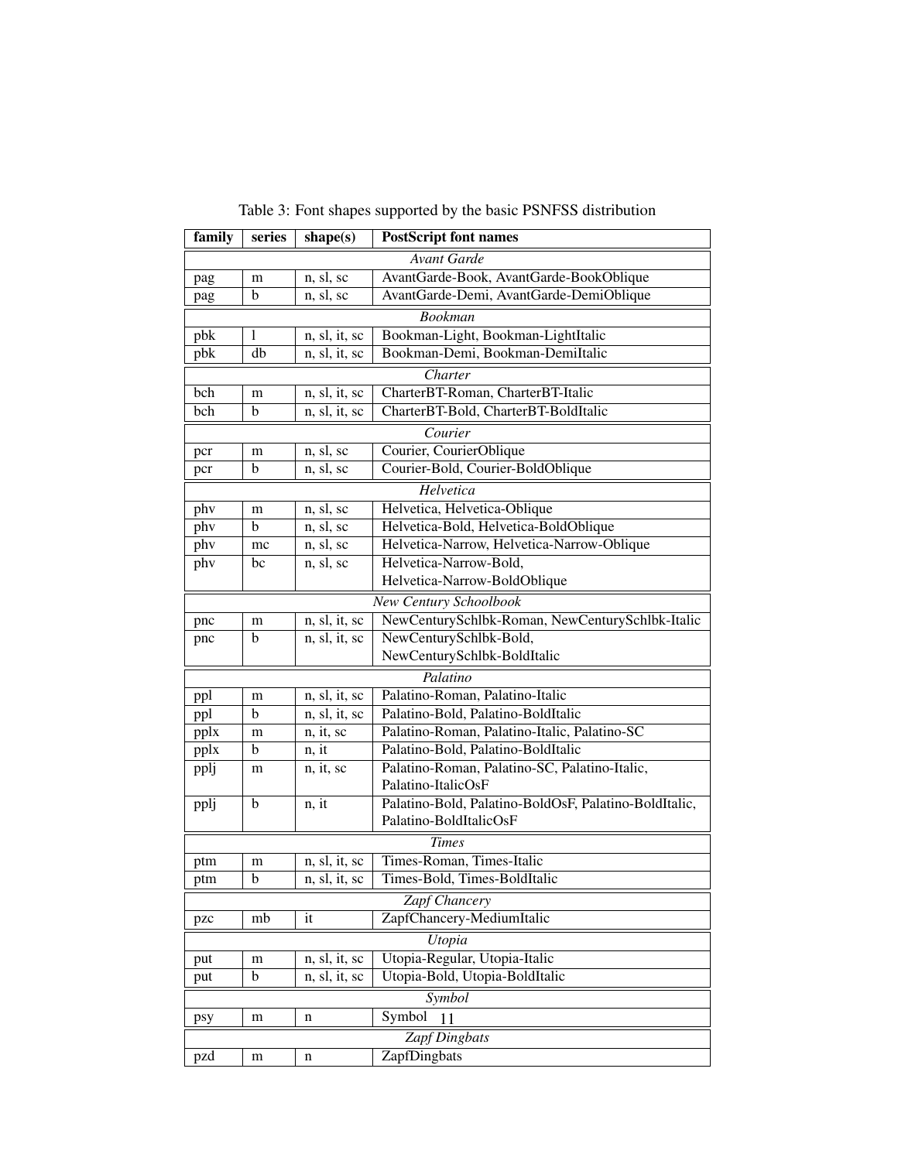| family                                                   | series<br>shape(s)<br><b>PostScript font names</b>                    |               |                                                       |  |  |  |  |  |  |
|----------------------------------------------------------|-----------------------------------------------------------------------|---------------|-------------------------------------------------------|--|--|--|--|--|--|
|                                                          |                                                                       |               | <b>Avant Garde</b>                                    |  |  |  |  |  |  |
| pag                                                      | AvantGarde-Book, AvantGarde-BookOblique<br>n, sl, sc<br>m             |               |                                                       |  |  |  |  |  |  |
| pag                                                      | $\mathbf b$<br>AvantGarde-Demi, AvantGarde-DemiOblique<br>n, sl, sc   |               |                                                       |  |  |  |  |  |  |
|                                                          | <b>Bookman</b>                                                        |               |                                                       |  |  |  |  |  |  |
| pbk                                                      | Bookman-Light, Bookman-LightItalic<br>n, sl, it, sc<br>1              |               |                                                       |  |  |  |  |  |  |
| pbk                                                      | db                                                                    | n, sl, it, sc | Bookman-Demi, Bookman-DemiItalic                      |  |  |  |  |  |  |
|                                                          |                                                                       |               | Charter                                               |  |  |  |  |  |  |
| bch                                                      | m                                                                     | n, sl, it, sc | CharterBT-Roman, CharterBT-Italic                     |  |  |  |  |  |  |
| bch                                                      | b                                                                     | n, sl, it, sc | CharterBT-Bold, CharterBT-BoldItalic                  |  |  |  |  |  |  |
|                                                          |                                                                       |               | Courier                                               |  |  |  |  |  |  |
| pcr                                                      | m                                                                     | n, sl, sc     | Courier, CourierOblique                               |  |  |  |  |  |  |
| pcr                                                      | b                                                                     | n, sl, sc     | Courier-Bold, Courier-BoldOblique                     |  |  |  |  |  |  |
|                                                          |                                                                       |               | Helvetica                                             |  |  |  |  |  |  |
| phy                                                      | m                                                                     | n, sl, sc     | Helvetica, Helvetica-Oblique                          |  |  |  |  |  |  |
| phy                                                      | b                                                                     | n, sl, sc     | Helvetica-Bold, Helvetica-BoldOblique                 |  |  |  |  |  |  |
| phy                                                      | mc                                                                    | n, sl, sc     | Helvetica-Narrow, Helvetica-Narrow-Oblique            |  |  |  |  |  |  |
| phy                                                      | bc                                                                    | n, sl, sc     | Helvetica-Narrow-Bold,                                |  |  |  |  |  |  |
|                                                          |                                                                       |               | Helvetica-Narrow-BoldOblique                          |  |  |  |  |  |  |
|                                                          |                                                                       |               | New Century Schoolbook                                |  |  |  |  |  |  |
| pnc                                                      | NewCenturySchlbk-Roman, NewCenturySchlbk-Italic<br>n, sl, it, sc<br>m |               |                                                       |  |  |  |  |  |  |
| pnc                                                      | NewCenturySchlbk-Bold,<br>b<br>n, sl, it, sc                          |               |                                                       |  |  |  |  |  |  |
|                                                          | NewCenturySchlbk-BoldItalic                                           |               |                                                       |  |  |  |  |  |  |
| Palatino                                                 |                                                                       |               |                                                       |  |  |  |  |  |  |
| ppl                                                      | Palatino-Roman, Palatino-Italic<br>n, sl, it, sc<br>m                 |               |                                                       |  |  |  |  |  |  |
| ppl                                                      | Palatino-Bold, Palatino-BoldItalic<br>b<br>n, sl, it, sc              |               |                                                       |  |  |  |  |  |  |
| pplx                                                     | Palatino-Roman, Palatino-Italic, Palatino-SC<br>n, it, sc<br>m        |               |                                                       |  |  |  |  |  |  |
| Palatino-Bold, Palatino-BoldItalic<br>b<br>n, it<br>pplx |                                                                       |               |                                                       |  |  |  |  |  |  |
| pplj                                                     | m                                                                     | n, it, sc     | Palatino-Roman, Palatino-SC, Palatino-Italic,         |  |  |  |  |  |  |
|                                                          |                                                                       |               | Palatino-ItalicOsF                                    |  |  |  |  |  |  |
| pplj                                                     | b                                                                     | n, it         | Palatino-Bold, Palatino-BoldOsF, Palatino-BoldItalic, |  |  |  |  |  |  |
|                                                          |                                                                       |               | Palatino-BoldItalicOsF                                |  |  |  |  |  |  |
|                                                          |                                                                       |               | <b>Times</b>                                          |  |  |  |  |  |  |
| ptm                                                      | m                                                                     | n, sl, it, sc | Times-Roman, Times-Italic                             |  |  |  |  |  |  |
| ptm                                                      | b                                                                     | n, sl, it, sc | Times-Bold, Times-BoldItalic                          |  |  |  |  |  |  |
|                                                          |                                                                       |               | <b>Zapf Chancery</b>                                  |  |  |  |  |  |  |
| ZapfChancery-MediumItalic<br>it<br>mb<br>pzc             |                                                                       |               |                                                       |  |  |  |  |  |  |
| Utopia                                                   |                                                                       |               |                                                       |  |  |  |  |  |  |
| put                                                      | Utopia-Regular, Utopia-Italic<br>n, sl, it, sc<br>m                   |               |                                                       |  |  |  |  |  |  |
| put                                                      | b                                                                     | n, sl, it, sc | Utopia-Bold, Utopia-BoldItalic                        |  |  |  |  |  |  |
|                                                          | Symbol                                                                |               |                                                       |  |  |  |  |  |  |
| psy                                                      | Symbol<br>${\rm m}$<br>n<br>11                                        |               |                                                       |  |  |  |  |  |  |
|                                                          | <b>Zapf Dingbats</b>                                                  |               |                                                       |  |  |  |  |  |  |
| pzd                                                      | m                                                                     | n             | ZapfDingbats                                          |  |  |  |  |  |  |

<span id="page-10-0"></span>Table 3: Font shapes supported by the basic PSNFSS distribution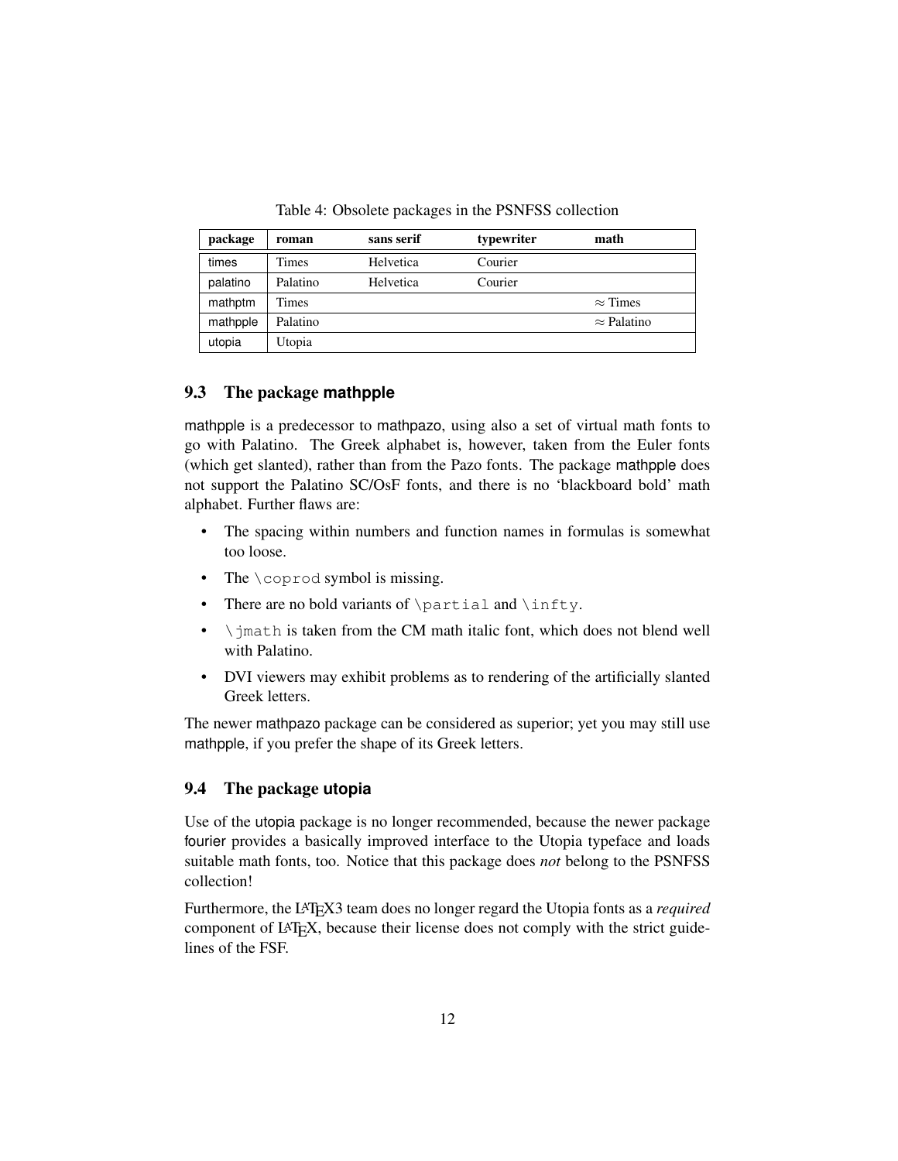<span id="page-11-2"></span>Table 4: Obsolete packages in the PSNFSS collection

| package  | roman    | sans serif | typewriter | math               |
|----------|----------|------------|------------|--------------------|
| times    | Times    | Helvetica  | Courier    |                    |
| palatino | Palatino | Helvetica  | Courier    |                    |
| mathptm  | Times    |            |            | $\approx$ Times    |
| mathpple | Palatino |            |            | $\approx$ Palatino |
| utopia   | Utopia   |            |            |                    |

#### <span id="page-11-0"></span>9.3 The package **mathpple**

mathpple is a predecessor to mathpazo, using also a set of virtual math fonts to go with Palatino. The Greek alphabet is, however, taken from the Euler fonts (which get slanted), rather than from the Pazo fonts. The package mathpple does not support the Palatino SC/OsF fonts, and there is no 'blackboard bold' math alphabet. Further flaws are:

- The spacing within numbers and function names in formulas is somewhat too loose.
- The \coprod symbol is missing.
- There are no bold variants of \partial and \infty.
- $\bullet$  \; imath is taken from the CM math italic font, which does not blend well with Palatino.
- DVI viewers may exhibit problems as to rendering of the artificially slanted Greek letters.

The newer mathpazo package can be considered as superior; yet you may still use mathpple, if you prefer the shape of its Greek letters.

#### <span id="page-11-1"></span>9.4 The package **utopia**

Use of the utopia package is no longer recommended, because the newer package fourier provides a basically improved interface to the Utopia typeface and loads suitable math fonts, too. Notice that this package does *not* belong to the PSNFSS collection!

Furthermore, the LATEX3 team does no longer regard the Utopia fonts as a *required* component of LAT<sub>EX</sub>, because their license does not comply with the strict guidelines of the FSF.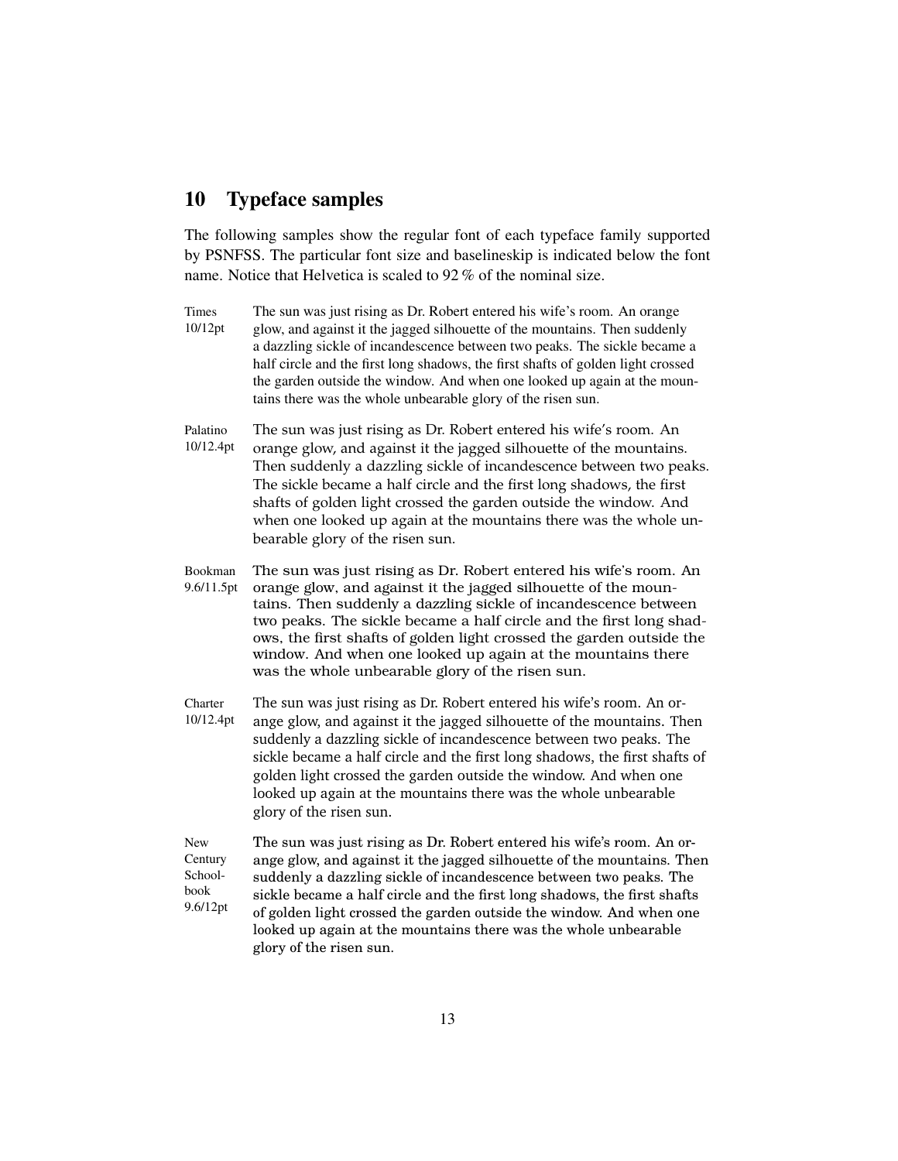# <span id="page-12-0"></span>10 Typeface samples

The following samples show the regular font of each typeface family supported by PSNFSS. The particular font size and baselineskip is indicated below the font name. Notice that Helvetica is scaled to 92 % of the nominal size.

- Times 10/12pt The sun was just rising as Dr. Robert entered his wife's room. An orange glow, and against it the jagged silhouette of the mountains. Then suddenly a dazzling sickle of incandescence between two peaks. The sickle became a half circle and the first long shadows, the first shafts of golden light crossed the garden outside the window. And when one looked up again at the mountains there was the whole unbearable glory of the risen sun.
- Palatino 10/12.4pt The sun was just rising as Dr. Robert entered his wife's room. An orange glow, and against it the jagged silhouette of the mountains. Then suddenly a dazzling sickle of incandescence between two peaks. The sickle became a half circle and the first long shadows, the first shafts of golden light crossed the garden outside the window. And when one looked up again at the mountains there was the whole unbearable glory of the risen sun.
- Bookman 9.6/11.5pt The sun was just rising as Dr. Robert entered his wife's room. An orange glow, and against it the jagged silhouette of the mountains. Then suddenly a dazzling sickle of incandescence between two peaks. The sickle became a half circle and the first long shadows, the first shafts of golden light crossed the garden outside the window. And when one looked up again at the mountains there was the whole unbearable glory of the risen sun.
- **Charter** 10/12.4pt The sun was just rising as Dr. Robert entered his wife's room. An orange glow, and against it the jagged silhouette of the mountains. Then suddenly a dazzling sickle of incandescence between two peaks. The sickle became a half circle and the first long shadows, the first shafts of golden light crossed the garden outside the window. And when one looked up again at the mountains there was the whole unbearable glory of the risen sun.
- New **Century** Schoolbook 9.6/12pt The sun was just rising as Dr. Robert entered his wife's room. An orange glow, and against it the jagged silhouette of the mountains. Then suddenly a dazzling sickle of incandescence between two peaks. The sickle became a half circle and the first long shadows, the first shafts of golden light crossed the garden outside the window. And when one looked up again at the mountains there was the whole unbearable glory of the risen sun.